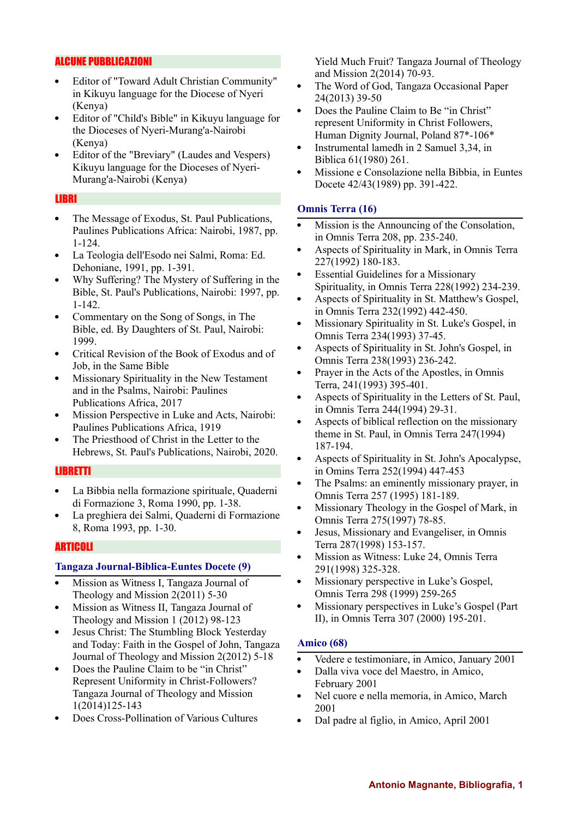# ALCUNE PUBBLICAZIONI

- Editor of "Toward Adult Christian Community"  $\bullet$ in Kikuyu language for the Diocese of Nyeri (Kenya)
- Editor of "Child's Bible" in Kikuyu language for the Dioceses of Nyeri-Murang'a-Nairobi (Kenya)
- Editor of the "Breviary" (Laudes and Vespers) Kikuyu language for the Dioceses of Nyeri-Murang'a-Nairobi (Kenya)

#### LIBRI

- The Message of Exodus, St. Paul Publications,  $\bullet$ Paulines Publications Africa: Nairobi, 1987, pp. 1-124.
- La Teologia dell'Esodo nei Salmi, Roma: Ed. Dehoniane, 1991, pp. 1-391.
- Why Suffering? The Mystery of Suffering in the Bible, St. Paul's Publications, Nairobi: 1997, pp. 1-142.
- Commentary on the Song of Songs, in The  $\bullet$ Bible, ed. By Daughters of St. Paul, Nairobi: 1999.
- Critical Revision of the Book of Exodus and of  $\bullet$ Job, in the Same Bible
- Missionary Spirituality in the New Testament and in the Psalms, Nairobi: Paulines Publications Africa, 2017
- Mission Perspective in Luke and Acts, Nairobi:  $\bullet$ Paulines Publications Africa, 1919
- The Priesthood of Christ in the Letter to the Hebrews, St. Paul's Publications, Nairobi, 2020.

## LIBRETTI

- La Bibbia nella formazione spirituale, Quaderni di Formazione 3, Roma 1990, pp. 1-38.
- La preghiera dei Salmi, Quaderni di Formazione 8, Roma 1993, pp. 1-30.

## ARTICOLI

## **Tangaza Journal-Biblica-Euntes Docete (9)**

- Mission as Witness I, Tangaza Journal of Theology and Mission 2(2011) 5-30
- Mission as Witness II, Tangaza Journal of  $\bullet$ Theology and Mission 1 (2012) 98-123
- Jesus Christ: The Stumbling Block Yesterday and Today: Faith in the Gospel of John, Tangaza Journal of Theology and Mission 2(2012) 5-18
- Does the Pauline Claim to be "in Christ" Represent Uniformity in Christ-Followers? Tangaza Journal of Theology and Mission 1(2014)125-143
- Does Cross-Pollination of Various Cultures

Yield Much Fruit? Tangaza Journal of Theology and Mission 2(2014) 70-93.

- The Word of God, Tangaza Occasional Paper  $\bullet$ 24(2013) 39-50
- Does the Pauline Claim to Be "in Christ" represent Uniformity in Christ Followers, Human Dignity Journal, Poland 87\*-106\*
- Instrumental lamedh in 2 Samuel 3,34, in Biblica 61(1980) 261.
- Missione e Consolazione nella Bibbia, in Euntes Docete 42/43(1989) pp. 391-422.

## **Omnis Terra (16)**

- Mission is the Announcing of the Consolation, in Omnis Terra 208, pp. 235-240.
- Aspects of Spirituality in Mark, in Omnis Terra 227(1992) 180-183.
- Essential Guidelines for a Missionary Spirituality, in Omnis Terra 228(1992) 234-239.
- Aspects of Spirituality in St. Matthew's Gospel, in Omnis Terra 232(1992) 442-450.
- Missionary Spirituality in St. Luke's Gospel, in Omnis Terra 234(1993) 37-45.
- Aspects of Spirituality in St. John's Gospel, in Omnis Terra 238(1993) 236-242.
- Prayer in the Acts of the Apostles, in Omnis  $\bullet$ Terra, 241(1993) 395-401.
- $\bullet$ Aspects of Spirituality in the Letters of St. Paul, in Omnis Terra 244(1994) 29-31.
- Aspects of biblical reflection on the missionary theme in St. Paul, in Omnis Terra 247(1994) 187-194.
- Aspects of Spirituality in St. John's Apocalypse,  $\bullet$ in Omins Terra 252(1994) 447-453
- $\bullet$ The Psalms: an eminently missionary prayer, in Omnis Terra 257 (1995) 181-189.
- Missionary Theology in the Gospel of Mark, in  $\bullet$ Omnis Terra 275(1997) 78-85.
- Jesus, Missionary and Evangeliser, in Omnis  $\bullet$ Terra 287(1998) 153-157.
- Mission as Witness: Luke 24, Omnis Terra  $\bullet$ 291(1998) 325-328.
- Missionary perspective in Luke's Gospel,  $\bullet$ Omnis Terra 298 (1999) 259-265
- $\bullet$ Missionary perspectives in Luke's Gospel (Part II), in Omnis Terra 307 (2000) 195-201.

#### **Amico (68)**

- Vedere e testimoniare, in Amico, January 2001  $\bullet$
- Dalla viva voce del Maestro, in Amico,  $\bullet$ February 2001
- Nel cuore e nella memoria, in Amico, March  $\bullet$ 2001
- Dal padre al figlio, in Amico, April 2001 $\bullet$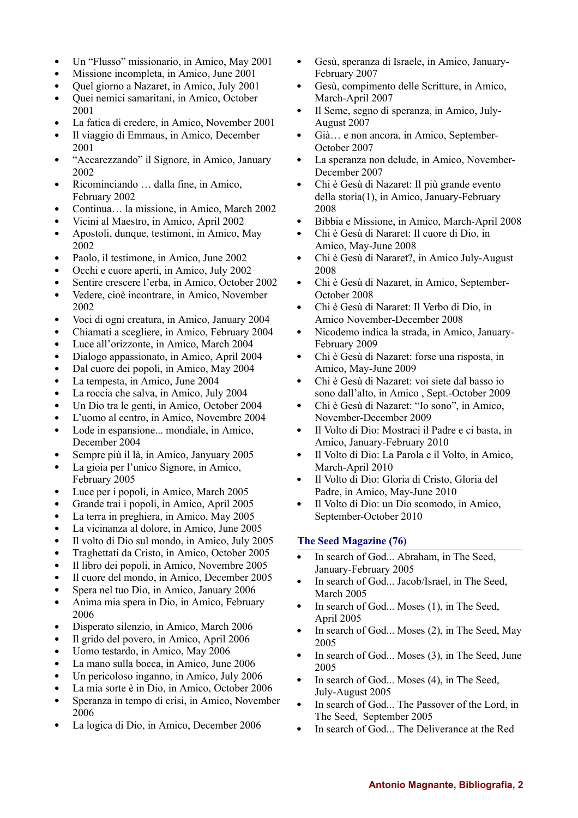- Un "Flusso" missionario, in Amico, May 2001  $\bullet$
- Missione incompleta, in Amico, June 2001  $\bullet$
- Quel giorno a Nazaret, in Amico, July 2001
- $\bullet$ Quei nemici samaritani, in Amico, October 2001
- La fatica di credere, in Amico, November 2001
- Il viaggio di Emmaus, in Amico, December 2001
- "Accarezzando" il Signore, in Amico, January  $\bullet$ 2002
- $\bullet$ Ricominciando … dalla fine, in Amico, February 2002
- Continua… la missione, in Amico, March 2002
- Vicini al Maestro, in Amico, April 2002
- Apostoli, dunque, testimoni, in Amico, May  $\bullet$ 2002
- Paolo, il testimone, in Amico, June 2002  $\bullet$
- Occhi e cuore aperti, in Amico, July 2002
- Sentire crescere l'erba, in Amico, October 2002
- Vedere, cioè incontrare, in Amico, November  $\bullet$ 2002
- $\bullet$ Voci di ogni creatura, in Amico, January 2004
- Chiamati a scegliere, in Amico, February 2004  $\bullet$
- $\bullet$ Luce all'orizzonte, in Amico, March 2004
- Dialogo appassionato, in Amico, April 2004  $\bullet$
- $\bullet$ Dal cuore dei popoli, in Amico, May 2004
- La tempesta, in Amico, June 2004  $\bullet$
- La roccia che salva, in Amico, July 2004  $\bullet$
- Un Dio tra le genti, in Amico, October 2004  $\bullet$
- L'uomo al centro, in Amico, Novembre 2004
- $\bullet$ Lode in espansione... mondiale, in Amico, December 2004
- Sempre più il là, in Amico, Janyuary 2005  $\bullet$
- La gioia per l'unico Signore, in Amico,  $\bullet$ February 2005
- $\bullet$ Luce per i popoli, in Amico, March 2005
- Grande trai i popoli, in Amico, April 2005  $\bullet$
- La terra in preghiera, in Amico, May 2005  $\bullet$
- La vicinanza al dolore, in Amico, June 2005  $\bullet$
- $\bullet$ Il volto di Dio sul mondo, in Amico, July 2005
- Traghettati da Cristo, in Amico, October 2005  $\bullet$
- Il libro dei popoli, in Amico, Novembre 2005  $\bullet$
- $\bullet$ Il cuore del mondo, in Amico, December 2005
- Spera nel tuo Dio, in Amico, January 2006
- $\bullet$ Anima mia spera in Dio, in Amico, February 2006
- $\bullet$ Disperato silenzio, in Amico, March 2006
- $\bullet$ Il grido del povero, in Amico, April 2006
- Uomo testardo, in Amico, May 2006  $\bullet$
- La mano sulla bocca, in Amico, June 2006
- Un pericoloso inganno, in Amico, July 2006
- La mia sorte è in Dio, in Amico, October 2006
- Speranza in tempo di crisi, in Amico, November 2006
- La logica di Dio, in Amico, December 2006
- Gesù, speranza di Israele, in Amico, January- $\bullet$ February 2007
- Gesù, compimento delle Scritture, in Amico,  $\bullet$ March-April 2007
- Il Seme, segno di speranza, in Amico, July-August 2007
- Già… e non ancora, in Amico, September- $\bullet$ October 2007
- La speranza non delude, in Amico, November-December 2007
- $\bullet$ Chi è Gesù di Nazaret: Il più grande evento della storia(1), in Amico, January-February 2008
- Bibbia e Missione, in Amico, March-April 2008
- Chi è Gesù di Nararet: Il cuore di Dio, in  $\bullet$ Amico, May-June 2008
- Chi è Gesù di Nararet?, in Amico July-August  $\bullet$ 2008
- $\bullet$ Chi è Gesù di Nazaret, in Amico, September-October 2008
- Chi è Gesù di Nararet: Il Verbo di Dio, in  $\bullet$ Amico November-December 2008
- Nicodemo indica la strada, in Amico, January- $\bullet$ February 2009
- Chi è Gesù di Nazaret: forse una risposta, in  $\bullet$ Amico, May-June 2009
- $\bullet$ Chi è Gesù di Nazaret: voi siete dal basso io sono dall'alto, in Amico , Sept.-October 2009
- Chi è Gesù di Nazaret: "Io sono", in Amico, November-December 2009
- $\bullet$ Il Volto di Dio: Mostraci il Padre e ci basta, in Amico, January-February 2010
- Il Volto di Dio: La Parola e il Volto, in Amico,  $\bullet$ March-April 2010
- Il Volto di Dio: Gloria di Cristo, Gloria del  $\bullet$ Padre, in Amico, May-June 2010
- Il Volto di Dio: un Dio scomodo, in Amico,  $\bullet$ September-October 2010

# **The Seed Magazine (76)**

- $\bullet$ In search of God... Abraham, in The Seed, January-February 2005
- $\bullet$ In search of God... Jacob/Israel, in The Seed, March 2005
- $\bullet$ In search of God... Moses (1), in The Seed, April 2005
- In search of God... Moses (2), in The Seed, May  $\bullet$ 2005
- In search of God... Moses (3), in The Seed, June  $\bullet$ 2005
- In search of God... Moses (4), in The Seed,  $\bullet$ July-August 2005
- In search of God... The Passover of the Lord, in  $\bullet$ The Seed, September 2005
- $\bullet$ In search of God... The Deliverance at the Red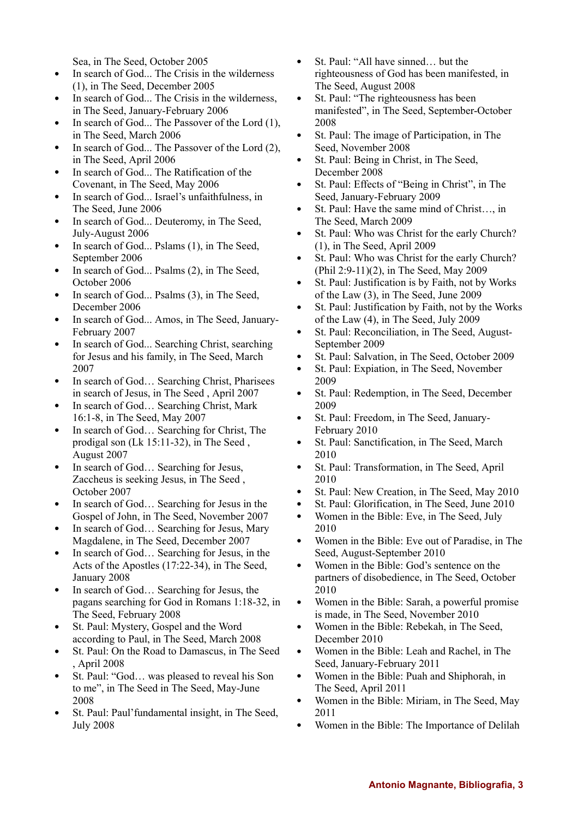Sea, in The Seed, October 2005

- In search of God... The Crisis in the wilderness (1), in The Seed, December 2005
- In search of God... The Crisis in the wilderness, in The Seed, January-February 2006
- In search of God... The Passover of the Lord (1), in The Seed, March 2006
- In search of God... The Passover of the Lord (2), in The Seed, April 2006
- In search of God... The Ratification of the Covenant, in The Seed, May 2006
- In search of God... Israel's unfaithfulness, in  $\bullet$  . The Seed, June 2006
- In search of God... Deuteromy, in The Seed, July-August 2006
- In search of God... Pslams (1), in The Seed, September 2006
- In search of God... Psalms (2), in The Seed,  $\bullet$ October 2006
- In search of God... Psalms (3), in The Seed, December 2006
- In search of God... Amos, in The Seed, January-February 2007
- In search of God... Searching Christ, searching  $\bullet$ for Jesus and his family, in The Seed, March 2007
- In search of God… Searching Christ, Pharisees  $\bullet$ in search of Jesus, in The Seed , April 2007
- In search of God… Searching Christ, Mark 16:1-8, in The Seed, May 2007
- $\bullet$ In search of God… Searching for Christ, The prodigal son (Lk 15:11-32), in The Seed , August 2007
- In search of God… Searching for Jesus, Zaccheus is seeking Jesus, in The Seed , October 2007
- In search of God… Searching for Jesus in the  $\bullet$  . Gospel of John, in The Seed, November 2007
- In search of God... Searching for Jesus, Mary Magdalene, in The Seed, December 2007
- In search of God… Searching for Jesus, in the Acts of the Apostles (17:22-34), in The Seed, January 2008
- In search of God… Searching for Jesus, the  $\bullet$ pagans searching for God in Romans 1:18-32, in The Seed, February 2008
- St. Paul: Mystery, Gospel and the Word according to Paul, in The Seed, March 2008
- St. Paul: On the Road to Damascus, in The Seed , April 2008
- St. Paul: "God… was pleased to reveal his Son to me", in The Seed in The Seed, May-June 2008
- St. Paul: Paul'fundamental insight, in The Seed, July 2008
- $\bullet$ St. Paul: "All have sinned… but the righteousness of God has been manifested, in The Seed, August 2008
- $\bullet$ St. Paul: "The righteousness has been manifested", in The Seed, September-October 2008
- St. Paul: The image of Participation, in The Seed, November 2008
- St. Paul: Being in Christ, in The Seed, December 2008
- St. Paul: Effects of "Being in Christ", in The  $\bullet$ Seed, January-February 2009
- St. Paul: Have the same mind of Christ…, in The Seed, March 2009
- St. Paul: Who was Christ for the early Church? (1), in The Seed, April 2009
- St. Paul: Who was Christ for the early Church? (Phil 2:9-11)(2), in The Seed, May 2009
- St. Paul: Justification is by Faith, not by Works  $\bullet$ of the Law (3), in The Seed, June 2009
- St. Paul: Justification by Faith, not by the Works  $\bullet$ of the Law (4), in The Seed, July 2009
- St. Paul: Reconciliation, in The Seed, August- $\bullet$ September 2009
- St. Paul: Salvation, in The Seed, October 2009
- St. Paul: Expiation, in The Seed, November  $\bullet$ 2009
- $\bullet$ St. Paul: Redemption, in The Seed, December 2009
- $\bullet$ St. Paul: Freedom, in The Seed, January-February 2010
- St. Paul: Sanctification, in The Seed, March  $\bullet$ 2010
- St. Paul: Transformation, in The Seed, April  $\bullet$ 2010
- $\bullet$ St. Paul: New Creation, in The Seed, May 2010
- St. Paul: Glorification, in The Seed, June 2010
- Women in the Bible: Eve, in The Seed, July  $\bullet$ 2010
- $\bullet$ Women in the Bible: Eve out of Paradise, in The Seed, August-September 2010
- Women in the Bible: God's sentence on the  $\bullet$ partners of disobedience, in The Seed, October 2010
- $\bullet$ Women in the Bible: Sarah, a powerful promise is made, in The Seed, November 2010
- $\bullet$ Women in the Bible: Rebekah, in The Seed, December 2010
- Women in the Bible: Leah and Rachel, in The Seed, January-February 2011
- $\bullet$ Women in the Bible: Puah and Shiphorah, in The Seed, April 2011
- $\bullet$ Women in the Bible: Miriam, in The Seed, May 2011
- Women in the Bible: The Importance of Delilah